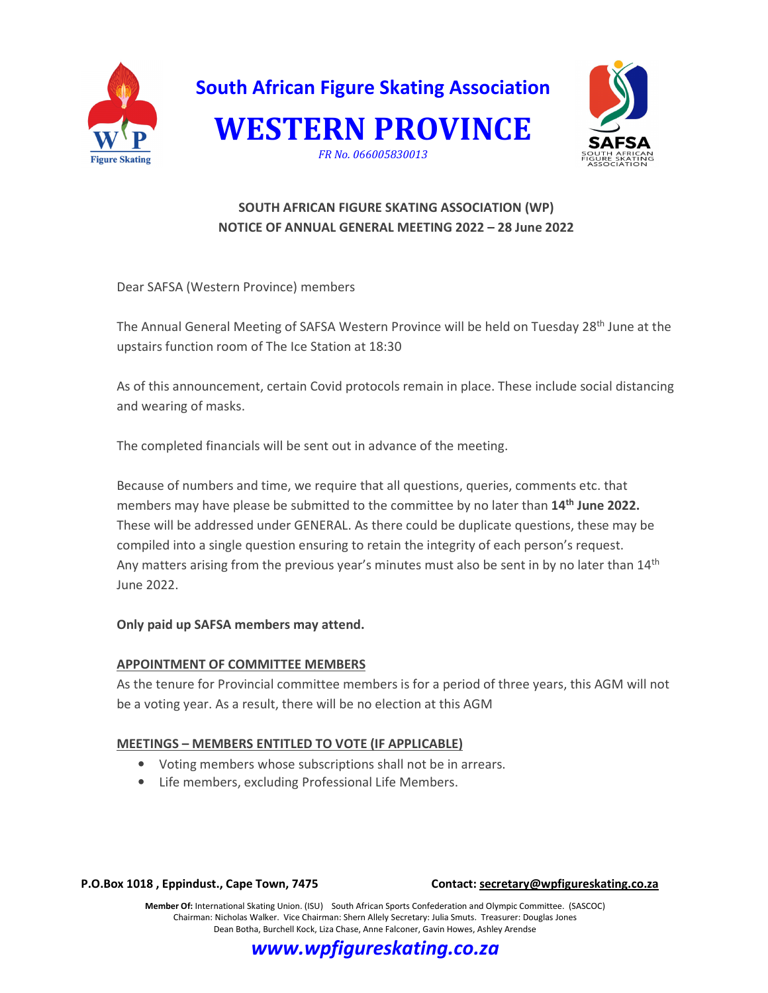



# **SOUTH AFRICAN FIGURE SKATING ASSOCIATION (WP) NOTICE OF ANNUAL GENERAL MEETING 2022 – 28 June 2022**

Dear SAFSA (Western Province) members

The Annual General Meeting of SAFSA Western Province will be held on Tuesday 28<sup>th</sup> June at the upstairs function room of The Ice Station at 18:30

As of this announcement, certain Covid protocols remain in place. These include social distancing and wearing of masks.

The completed financials will be sent out in advance of the meeting.

Because of numbers and time, we require that all questions, queries, comments etc. that members may have please be submitted to the committee by no later than **14th June 2022.** These will be addressed under GENERAL. As there could be duplicate questions, these may be compiled into a single question ensuring to retain the integrity of each person's request. Any matters arising from the previous year's minutes must also be sent in by no later than 14<sup>th</sup> June 2022.

## **Only paid up SAFSA members may attend.**

## **APPOINTMENT OF COMMITTEE MEMBERS**

As the tenure for Provincial committee members is for a period of three years, this AGM will not be a voting year. As a result, there will be no election at this AGM

## **MEETINGS – MEMBERS ENTITLED TO VOTE (IF APPLICABLE)**

- Voting members whose subscriptions shall not be in arrears.
- Life members, excluding Professional Life Members.

#### **P.O.Box 1018 , Eppindust., Cape Town, 7475 Contact: secretary@wpfigureskating.co.za**

**Member Of:** International Skating Union. (ISU) South African Sports Confederation and Olympic Committee. (SASCOC) Chairman: Nicholas Walker. Vice Chairman: Shern Allely Secretary: Julia Smuts. Treasurer: Douglas Jones Dean Botha, Burchell Kock, Liza Chase, Anne Falconer, Gavin Howes, Ashley Arendse